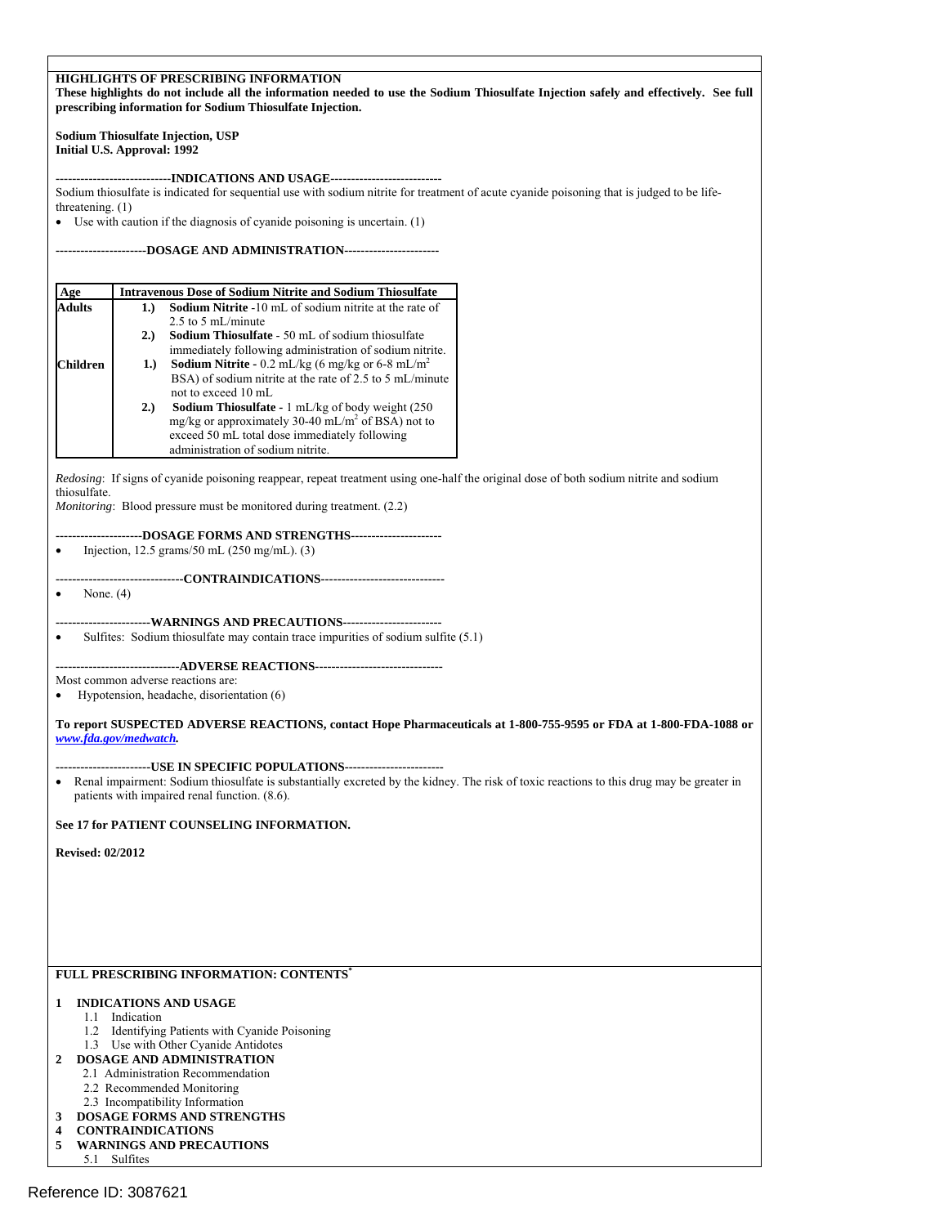| <b>HIGHLIGHTS OF PRESCRIBING INFORMATION</b><br>These highlights do not include all the information needed to use the Sodium Thiosulfate Injection safely and effectively. See full<br>prescribing information for Sodium Thiosulfate Injection. |                                                                                                                                                                                                                                                                                                                                                                                                                                               |  |  |  |
|--------------------------------------------------------------------------------------------------------------------------------------------------------------------------------------------------------------------------------------------------|-----------------------------------------------------------------------------------------------------------------------------------------------------------------------------------------------------------------------------------------------------------------------------------------------------------------------------------------------------------------------------------------------------------------------------------------------|--|--|--|
|                                                                                                                                                                                                                                                  | Sodium Thiosulfate Injection, USP<br>Initial U.S. Approval: 1992                                                                                                                                                                                                                                                                                                                                                                              |  |  |  |
| threatening. $(1)$                                                                                                                                                                                                                               | ------------------------INDICATIONS                AND USAGE--------------------------<br>Sodium thiosulfate is indicated for sequential use with sodium nitrite for treatment of acute cyanide poisoning that is judged to be life-<br>• Use with caution if the diagnosis of cyanide poisoning is uncertain. (1)                                                                                                                            |  |  |  |
|                                                                                                                                                                                                                                                  |                                                                                                                                                                                                                                                                                                                                                                                                                                               |  |  |  |
| Age                                                                                                                                                                                                                                              | <b>Intravenous Dose of Sodium Nitrite and Sodium Thiosulfate</b>                                                                                                                                                                                                                                                                                                                                                                              |  |  |  |
| Adults<br>Children                                                                                                                                                                                                                               | Sodium Nitrite -10 mL of sodium nitrite at the rate of<br>1.)<br>2.5 to 5 mL/minute<br>2.)<br><b>Sodium Thiosulfate</b> - 50 mL of sodium thiosulfate<br>immediately following administration of sodium nitrite.<br><b>Sodium Nitrite -</b> 0.2 mL/kg (6 mg/kg or 6-8 mL/m <sup>2</sup><br>1.)<br>BSA) of sodium nitrite at the rate of 2.5 to 5 mL/minute<br>not to exceed 10 mL<br>Sodium Thiosulfate - 1 mL/kg of body weight (250)<br>2.) |  |  |  |
|                                                                                                                                                                                                                                                  | mg/kg or approximately 30-40 mL/m <sup>2</sup> of BSA) not to<br>exceed 50 mL total dose immediately following<br>administration of sodium nitrite.                                                                                                                                                                                                                                                                                           |  |  |  |
| thiosulfate.                                                                                                                                                                                                                                     | Redosing: If signs of cyanide poisoning reappear, repeat treatment using one-half the original dose of both sodium nitrite and sodium<br><i>Monitoring</i> : Blood pressure must be monitored during treatment. (2.2)                                                                                                                                                                                                                         |  |  |  |
| ٠                                                                                                                                                                                                                                                | Injection, 12.5 grams/50 mL $(250 \text{ mg/mL})$ . (3)                                                                                                                                                                                                                                                                                                                                                                                       |  |  |  |
| None. $(4)$                                                                                                                                                                                                                                      | ------------------------CONTRAINDICATIONS------------------------------<br>-------------WARNINGS AND PRECAUTIONS------------------------                                                                                                                                                                                                                                                                                                      |  |  |  |
|                                                                                                                                                                                                                                                  | Sulfites: Sodium thiosulfate may contain trace impurities of sodium sulfite (5.1)<br>--------------------------ADVERSE                    REACTIONS------------------------------                                                                                                                                                                                                                                                             |  |  |  |
|                                                                                                                                                                                                                                                  | Most common adverse reactions are:<br>Hypotension, headache, disorientation (6)                                                                                                                                                                                                                                                                                                                                                               |  |  |  |
|                                                                                                                                                                                                                                                  | To report SUSPECTED ADVERSE REACTIONS, contact Hope Pharmaceuticals at 1-800-755-9595 or FDA at 1-800-FDA-1088 or<br>www.fda.gov/medwatch.                                                                                                                                                                                                                                                                                                    |  |  |  |
|                                                                                                                                                                                                                                                  | ------------------------USE IN SPECIFIC POPULATIONS--------------------------<br>• Renal impairment: Sodium thiosulfate is substantially excreted by the kidney. The risk of toxic reactions to this drug may be greater in<br>patients with impaired renal function. (8.6).                                                                                                                                                                  |  |  |  |
|                                                                                                                                                                                                                                                  | See 17 for PATIENT COUNSELING INFORMATION.                                                                                                                                                                                                                                                                                                                                                                                                    |  |  |  |
| <b>Revised: 02/2012</b>                                                                                                                                                                                                                          |                                                                                                                                                                                                                                                                                                                                                                                                                                               |  |  |  |
|                                                                                                                                                                                                                                                  |                                                                                                                                                                                                                                                                                                                                                                                                                                               |  |  |  |
|                                                                                                                                                                                                                                                  | <b>FULL PRESCRIBING INFORMATION: CONTENTS'</b>                                                                                                                                                                                                                                                                                                                                                                                                |  |  |  |
| 1<br>1.1<br>1.2<br>2                                                                                                                                                                                                                             | <b>INDICATIONS AND USAGE</b><br>Indication<br>Identifying Patients with Cyanide Poisoning<br>1.3 Use with Other Cyanide Antidotes<br><b>DOSAGE AND ADMINISTRATION</b><br>2.1 Administration Recommendation<br>2.2 Recommended Monitoring<br>2.3 Incompatibility Information                                                                                                                                                                   |  |  |  |
| DOSAGE FORMS AND STRENGTHS<br>3<br><b>CONTRAINDICATIONS</b><br>4<br>5<br><b>WARNINGS AND PRECAUTIONS</b><br>5.1 Sulfites                                                                                                                         |                                                                                                                                                                                                                                                                                                                                                                                                                                               |  |  |  |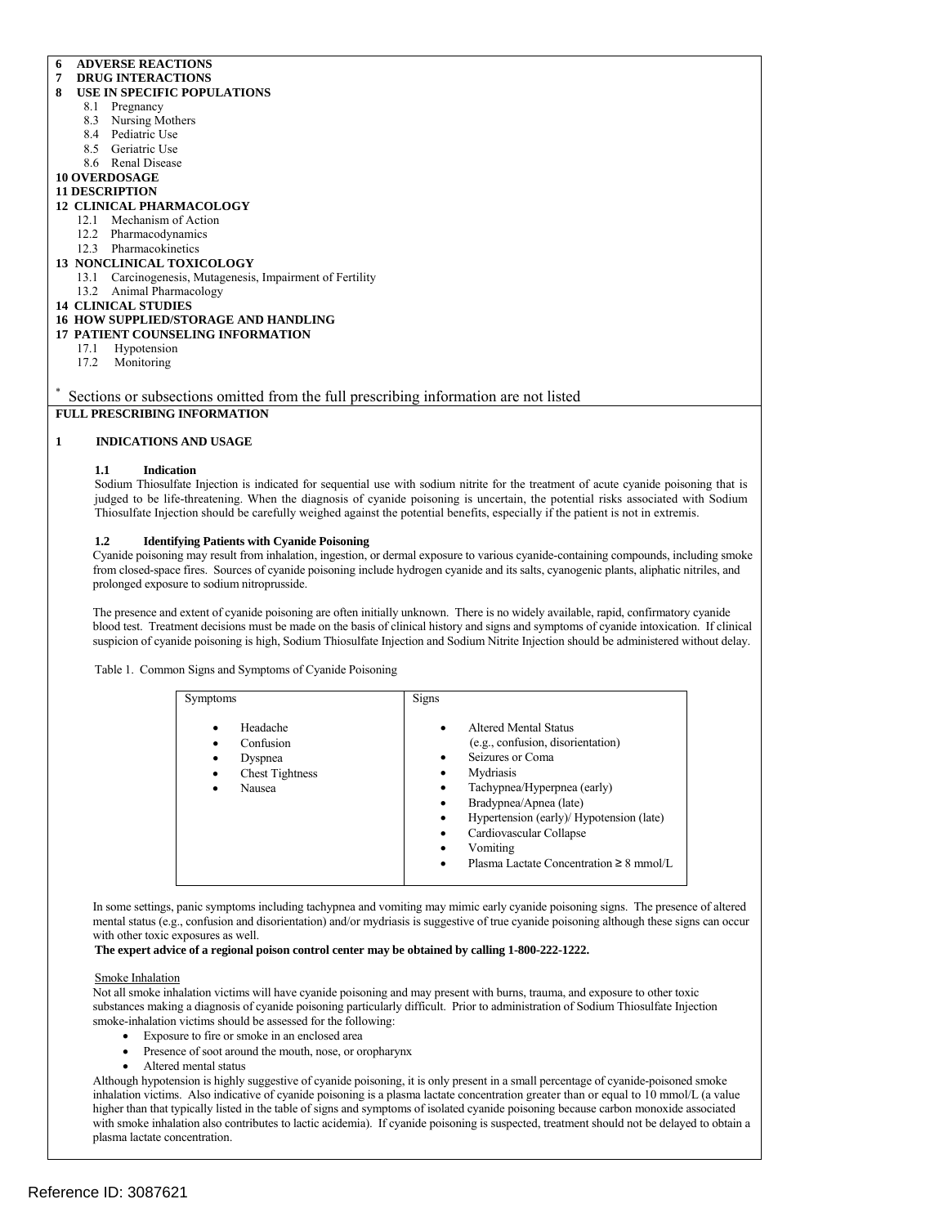# **6 ADVERSE REACTIONS**

#### **7 DRUG INTERACTIONS 8 USE IN SPECIFIC POPULATIONS**

- 8.1 Pregnancy
- 
- 8.3 Nursing Mothers
- 8.4 Pediatric Use
- 8.5 Geriatric Use
- 8.6 Renal Disease **10 OVERDOSAGE**

# **11 DESCRIPTION**

# **12 CLINICAL PHARMACOLOGY**

- 12.1 Mechanism of Action
	- 12.2 Pharmacodynamics
	- 12.3 Pharmacokinetics
- **13 NONCLINICAL TOXICOLOGY**
	- 13.1 Carcinogenesis, Mutagenesis, Impairment of Fertility
	- 13.2 Animal Pharmacology
- **14 CLINICAL STUDIES**
- **16 HOW SUPPLIED/STORAGE AND HANDLING**
- **17 PATIENT COUNSELING INFORMATION** 
	- 17.1 Hypotension
	- 17.2 Monitoring

\* Sections or subsections omitted from the full prescribing information are not listed

# **FULL PRESCRIBING INFORMATION**

# **1 INDICATIONS AND USAGE**

### **1.1 Indication**

Sodium Thiosulfate Injection is indicated for sequential use with sodium nitrite for the treatment of acute cyanide poisoning that is judged to be life-threatening. When the diagnosis of cyanide poisoning is uncertain, the potential risks associated with Sodium Thiosulfate Injection should be carefully weighed against the potential benefits, especially if the patient is not in extremis.

#### **1.2 Identifying Patients with Cyanide Poisoning**

Cyanide poisoning may result from inhalation, ingestion, or dermal exposure to various cyanide-containing compounds, including smoke from closed-space fires. Sources of cyanide poisoning include hydrogen cyanide and its salts, cyanogenic plants, aliphatic nitriles, and prolonged exposure to sodium nitroprusside.

The presence and extent of cyanide poisoning are often initially unknown. There is no widely available, rapid, confirmatory cyanide blood test. Treatment decisions must be made on the basis of clinical history and signs and symptoms of cyanide intoxication. If clinical suspicion of cyanide poisoning is high, Sodium Thiosulfate Injection and Sodium Nitrite Injection should be administered without delay.

#### Table 1. Common Signs and Symptoms of Cyanide Poisoning

| <b>Symptoms</b>                                                                                              | <b>Signs</b>                                                                                                                                                                                                                                                                                           |
|--------------------------------------------------------------------------------------------------------------|--------------------------------------------------------------------------------------------------------------------------------------------------------------------------------------------------------------------------------------------------------------------------------------------------------|
| Headache<br>٠<br>Confusion<br>٠<br>Dyspnea<br>$\bullet$<br><b>Chest Tightness</b><br>٠<br><b>Nausea</b><br>٠ | Altered Mental Status<br>٠<br>(e.g., confusion, disorientation)<br>Seizures or Coma<br>Mydriasis<br>Tachypnea/Hyperpnea (early)<br>Bradypnea/Apnea (late)<br>Hypertension (early)/ Hypotension (late)<br>Cardiovascular Collapse<br>٠<br>Vomiting<br>Plasma Lactate Concentration $\geq 8$ mmol/L<br>٠ |

In some settings, panic symptoms including tachypnea and vomiting may mimic early cyanide poisoning signs. The presence of altered mental status (e.g., confusion and disorientation) and/or mydriasis is suggestive of true cyanide poisoning although these signs can occur with other toxic exposures as well.

#### **The expert advice of a regional poison control center may be obtained by calling 1-800-222-1222.**

#### Smoke Inhalation

Not all smoke inhalation victims will have cyanide poisoning and may present with burns, trauma, and exposure to other toxic substances making a diagnosis of cyanide poisoning particularly difficult. Prior to administration of Sodium Thiosulfate Injection smoke-inhalation victims should be assessed for the following:

- Exposure to fire or smoke in an enclosed area
- Presence of soot around the mouth, nose, or oropharynx
- Altered mental status

 inhalation victims. Also indicative of cyanide poisoning is a plasma lactate concentration greater than or equal to 10 mmol/L (a value Although hypotension is highly suggestive of cyanide poisoning, it is only present in a small percentage of cyanide-poisoned smoke higher than that typically listed in the table of signs and symptoms of isolated cyanide poisoning because carbon monoxide associated with smoke inhalation also contributes to lactic acidemia). If cyanide poisoning is suspected, treatment should not be delayed to obtain a plasma lactate concentration.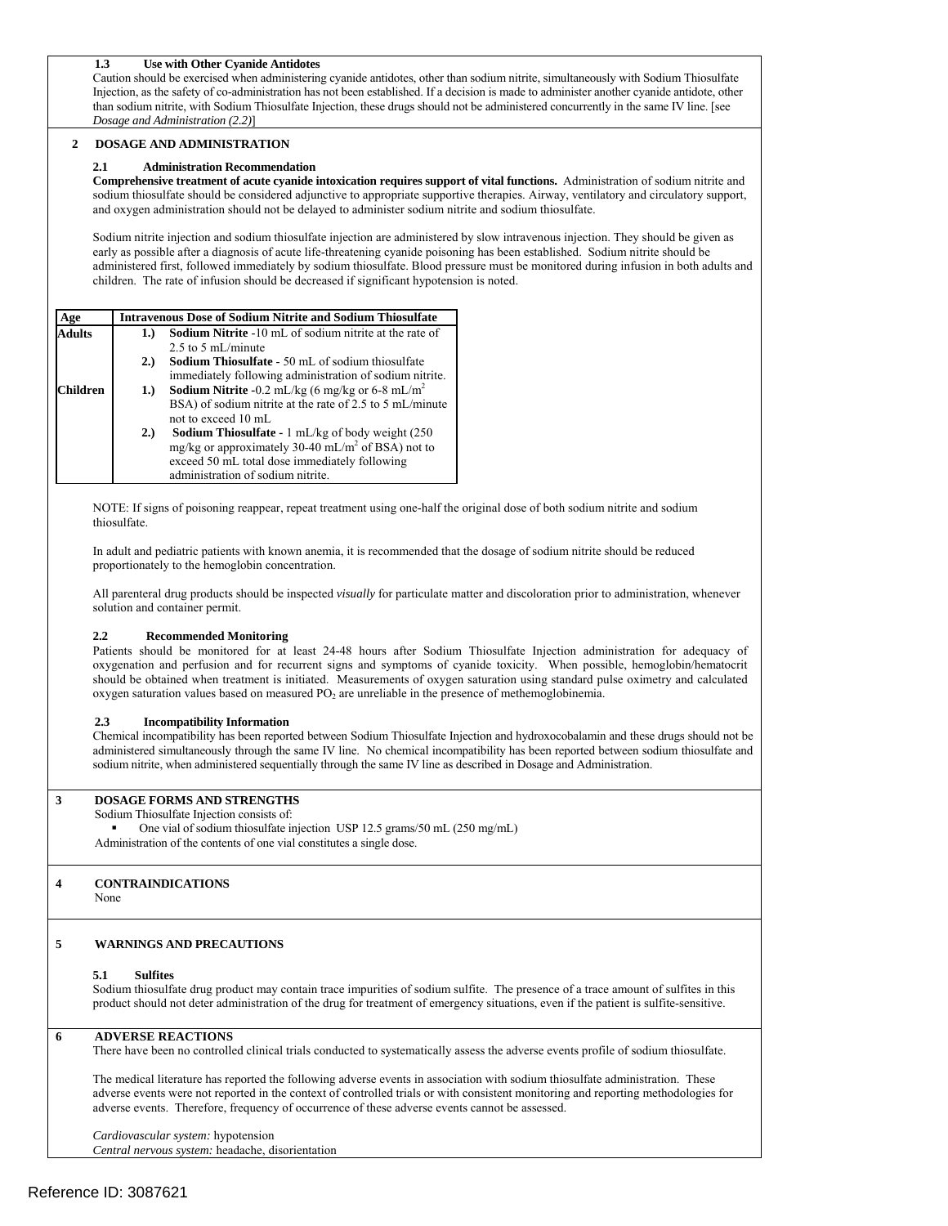# **1.3 Use with Other Cyanide Antidotes**

 Injection, as the safety of co-administration has not been established. If a decision is made to administer another cyanide antidote, other than sodium nitrite, with Sodium Thiosulfate Injection, these drugs should not be administered concurrently in the same IV line. [see Caution should be exercised when administering cyanide antidotes, other than sodium nitrite, simultaneously with Sodium Thiosulfate *Dosage and Administration (2.2)*]

#### **2 DOSAGE AND ADMINISTRATION**

#### **2.1 Administration Recommendation**

 **Comprehensive treatment of acute cyanide intoxication requires support of vital functions.** Administration of sodium nitrite and sodium thiosulfate should be considered adjunctive to appropriate supportive therapies. Airway, ventilatory and circulatory support, and oxygen administration should not be delayed to administer sodium nitrite and sodium thiosulfate.

Sodium nitrite injection and sodium thiosulfate injection are administered by slow intravenous injection. They should be given as early as possible after a diagnosis of acute life-threatening cyanide poisoning has been established. Sodium nitrite should be administered first, followed immediately by sodium thiosulfate. Blood pressure must be monitored during infusion in both adults and children. The rate of infusion should be decreased if significant hypotension is noted.

| Age           | <b>Intravenous Dose of Sodium Nitrite and Sodium Thiosulfate</b> |                                                                    |
|---------------|------------------------------------------------------------------|--------------------------------------------------------------------|
| <b>Adults</b> | 1.                                                               | <b>Sodium Nitrite</b> -10 mL of sodium nitrite at the rate of      |
|               |                                                                  | 2.5 to 5 mL/minute                                                 |
|               | 2.)                                                              | <b>Sodium Thiosulfate</b> - 50 mL of sodium thiosulfate            |
|               |                                                                  | immediately following administration of sodium nitrite.            |
| hildren!      | 1.)                                                              | <b>Sodium Nitrite -0.2</b> mL/kg (6 mg/kg or 6-8 mL/m <sup>2</sup> |
|               |                                                                  | BSA) of sodium nitrite at the rate of 2.5 to 5 mL/minute           |
|               |                                                                  | not to exceed $10 \text{ mL}$                                      |
|               | 2.)                                                              | <b>Sodium Thiosulfate -</b> 1 mL/kg of body weight (250)           |
|               |                                                                  | mg/kg or approximately 30-40 mL/m <sup>2</sup> of BSA) not to      |
|               |                                                                  | exceed 50 mL total dose immediately following                      |
|               |                                                                  | administration of sodium nitrite.                                  |

NOTE: If signs of poisoning reappear, repeat treatment using one-half the original dose of both sodium nitrite and sodium

thiosulfate.<br>In adult and pediatric patients with known anemia, it is recommended that the dosage of sodium nitrite should be reduced proportionately to the hemoglobin concentration.

All parenteral drug products should be inspected *visually* for particulate matter and discoloration prior to administration, whenever solution and container permit.

# **2.2 Recommended Monitoring**

oxygen saturation values based on measured PO<sub>2</sub> are unreliable in the presence of methemoglobinemia. Patients should be monitored for at least 24-48 hours after Sodium Thiosulfate Injection administration for adequacy of oxygenation and perfusion and for recurrent signs and symptoms of cyanide toxicity. When possible, hemoglobin/hematocrit should be obtained when treatment is initiated. Measurements of oxygen saturation using standard pulse oximetry and calculated

# **2.3 Incompatibility Information**

Chemical incompatibility has been reported between Sodium Thiosulfate Injection and hydroxocobalamin and these drugs should not be administered simultaneously through the same IV line. No chemical incompatibility has been reported between sodium thiosulfate and sodium nitrite, when administered sequentially through the same IV line as described in Dosage and Administration.

# **3 DOSAGE FORMS AND STRENGTHS**

#### Sodium Thiosulfate Injection consists of:

■ One vial of sodium thiosulfate injection USP 12.5 grams/50 mL (250 mg/mL) Administration of the contents of one vial constitutes a single dose.

# **4 CONTRAINDICATIONS**

None

# **5 WARNINGS AND PRECAUTIONS**

#### **5.1 Sulfites**

 product should not deter administration of the drug for treatment of emergency situations, even if the patient is sulfite-sensitive. Sodium thiosulfate drug product may contain trace impurities of sodium sulfite. The presence of a trace amount of sulfites in this

#### **6 ADVERSE REACTIONS**

There have been no controlled clinical trials conducted to systematically assess the adverse events profile of sodium thiosulfate.

 adverse events. Therefore, frequency of occurrence of these adverse events cannot be assessed. The medical literature has reported the following adverse events in association with sodium thiosulfate administration. These adverse events were not reported in the context of controlled trials or with consistent monitoring and reporting methodologies for

*Cardiovascular system:* hypotension

*Central nervous system:* headache, disorientation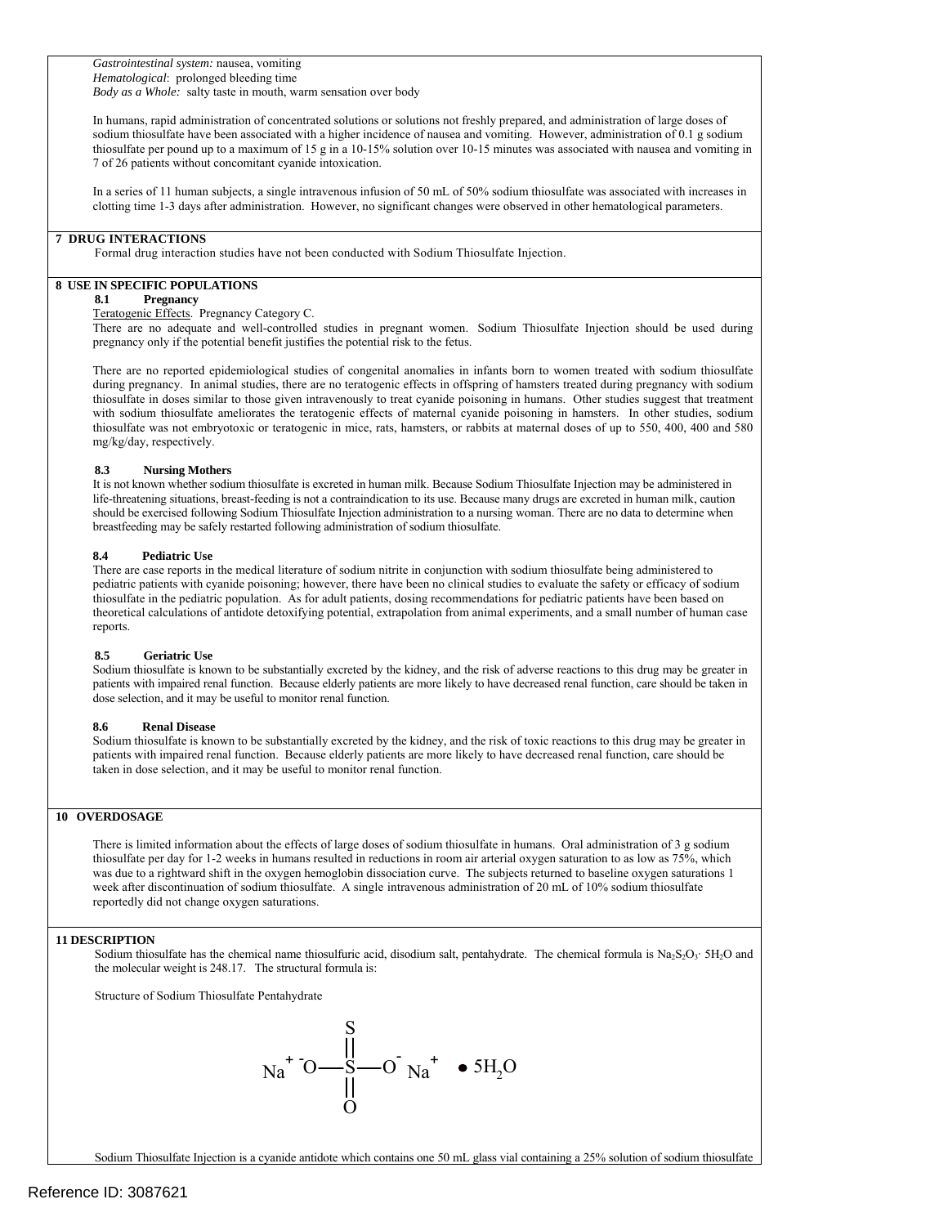*Body as a Whole:* salty taste in mouth, warm sensation over body *Gastrointestinal system:* nausea, vomiting *Hematological*: prolonged bleeding time

sodium thiosulfate have been associated with a higher incidence of nausea and vomiting. However, administration of 0.1 g sodium In humans, rapid administration of concentrated solutions or solutions not freshly prepared, and administration of large doses of thiosulfate per pound up to a maximum of 15 g in a 10-15% solution over 10-15 minutes was associated with nausea and vomiting in 7 of 26 patients without concomitant cyanide intoxication.

In a series of 11 human subjects, a single intravenous infusion of 50 mL of 50% sodium thiosulfate was associated with increases in clotting time 1-3 days after administration. However, no significant changes were observed in other hematological parameters.

#### **7 DRUG INTERACTIONS**

Formal drug interaction studies have not been conducted with Sodium Thiosulfate Injection.

# **8 USE IN SPECIFIC POPULATIONS**

# **8.1 Pregnancy**

Teratogenic Effects. Pregnancy Category C.

 There are no adequate and well-controlled studies in pregnant women. Sodium Thiosulfate Injection should be used during pregnancy only if the potential benefit justifies the potential risk to the fetus.

 mg/kg/day, respectively. There are no reported epidemiological studies of congenital anomalies in infants born to women treated with sodium thiosulfate during pregnancy. In animal studies, there are no teratogenic effects in offspring of hamsters treated during pregnancy with sodium thiosulfate in doses similar to those given intravenously to treat cyanide poisoning in humans. Other studies suggest that treatment with sodium thiosulfate ameliorates the teratogenic effects of maternal cyanide poisoning in hamsters. In other studies, sodium thiosulfate was not embryotoxic or teratogenic in mice, rats, hamsters, or rabbits at maternal doses of up to 550, 400, 400 and 580

#### **8.3 Nursing Mothers**

It is not known whether sodium thiosulfate is excreted in human milk. Because Sodium Thiosulfate Injection may be administered in life-threatening situations, breast-feeding is not a contraindication to its use. Because many drugs are excreted in human milk, caution should be exercised following Sodium Thiosulfate Injection administration to a nursing woman. There are no data to determine when breastfeeding may be safely restarted following administration of sodium thiosulfate.

#### **8.4 Pediatric Use**

 thiosulfate in the pediatric population. As for adult patients, dosing recommendations for pediatric patients have been based on There are case reports in the medical literature of sodium nitrite in conjunction with sodium thiosulfate being administered to pediatric patients with cyanide poisoning; however, there have been no clinical studies to evaluate the safety or efficacy of sodium theoretical calculations of antidote detoxifying potential, extrapolation from animal experiments, and a small number of human case reports.

#### **8.5 Geriatric Use**

 Sodium thiosulfate is known to be substantially excreted by the kidney, and the risk of adverse reactions to this drug may be greater in patients with impaired renal function. Because elderly patients are more likely to have decreased renal function, care should be taken in dose selection, and it may be useful to monitor renal function.

#### **8.6 Renal Disease**

Sodium thiosulfate is known to be substantially excreted by the kidney, and the risk of toxic reactions to this drug may be greater in patients with impaired renal function. Because elderly patients are more likely to have decreased renal function, care should be taken in dose selection, and it may be useful to monitor renal function.

# **10 OVERDOSAGE**

There is limited information about the effects of large doses of sodium thiosulfate in humans. Oral administration of 3 g sodium thiosulfate per day for 1-2 weeks in humans resulted in reductions in room air arterial oxygen saturation to as low as 75%, which was due to a rightward shift in the oxygen hemoglobin dissociation curve. The subjects returned to baseline oxygen saturations 1 week after discontinuation of sodium thiosulfate. A single intravenous administration of 20 mL of 10% sodium thiosulfate reportedly did not change oxygen saturations.

#### **11 DESCRIPTION**

Sodium thiosulfate has the chemical name thiosulfuric acid, disodium salt, pentahydrate. The chemical formula is  $Na_2S_2O_3$ ·  $5H_2O$  and the molecular weight is 248.17. The structural formula is:

Structure of Sodium Thiosulfate Pentahydrate

$$
Na^{+}O \frac{S}{\parallel} \frac{O}{O}Na^{+} \cdot 5H_{2}O
$$

Sodium Thiosulfate Injection is a cyanide antidote which contains one 50 mL glass vial containing a 25% solution of sodium thiosulfate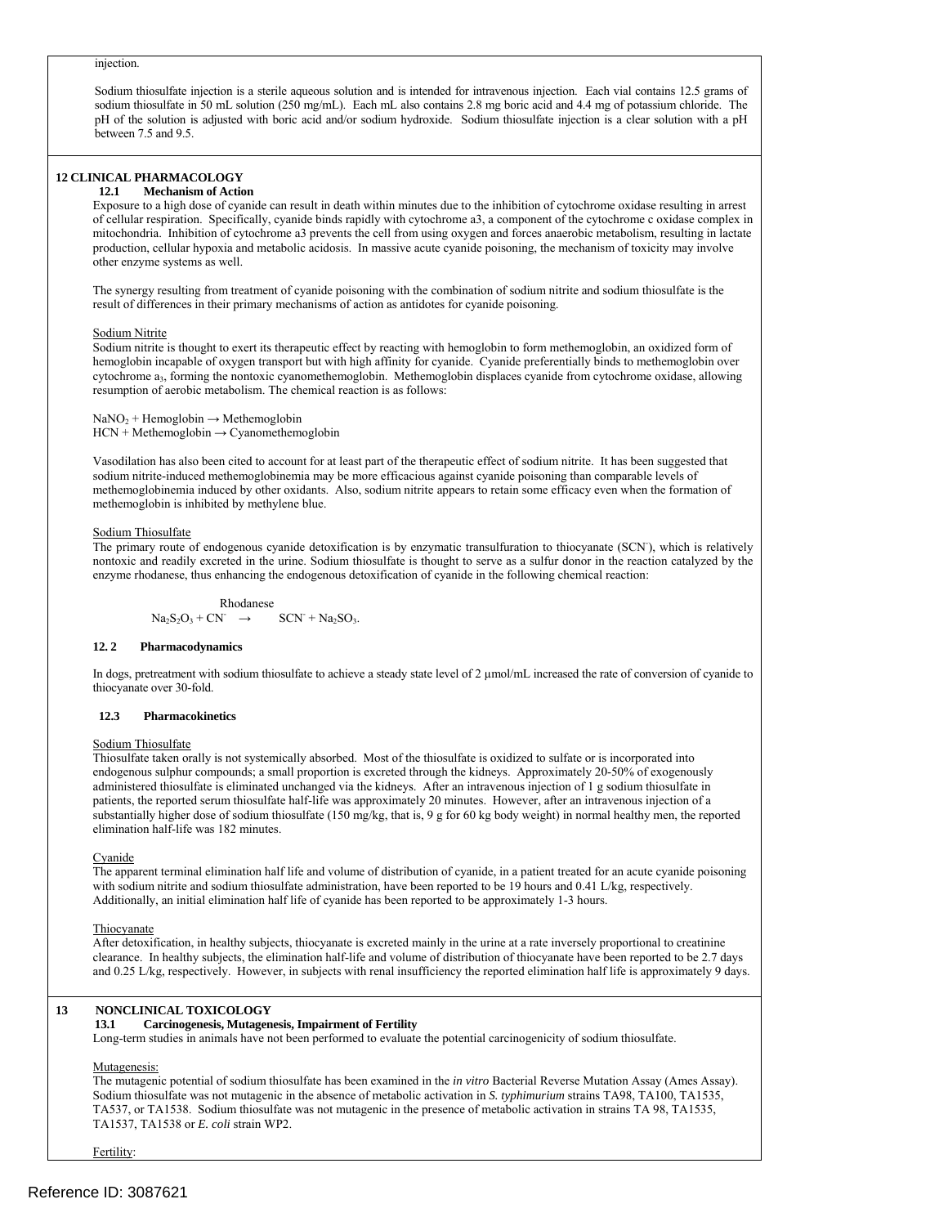#### injection.

sodium thiosulfate in 50 mL solution (250 mg/mL). Each mL also contains 2.8 mg boric acid and 4.4 mg of potassium chloride. The Sodium thiosulfate injection is a sterile aqueous solution and is intended for intravenous injection. Each vial contains 12.5 grams of pH of the solution is adjusted with boric acid and/or sodium hydroxide. Sodium thiosulfate injection is a clear solution with a pH between 7.5 and 9.5.

# **12 CLINICAL PHARMACOLOGY**

### **12.1 Mechanism of Action**

other enzyme systems as well. Exposure to a high dose of cyanide can result in death within minutes due to the inhibition of cytochrome oxidase resulting in arrest of cellular respiration. Specifically, cyanide binds rapidly with cytochrome a3, a component of the cytochrome c oxidase complex in mitochondria. Inhibition of cytochrome a3 prevents the cell from using oxygen and forces anaerobic metabolism, resulting in lactate production, cellular hypoxia and metabolic acidosis. In massive acute cyanide poisoning, the mechanism of toxicity may involve

The synergy resulting from treatment of cyanide poisoning with the combination of sodium nitrite and sodium thiosulfate is the result of differences in their primary mechanisms of action as antidotes for cyanide poisoning.

#### Sodium Nitrite

Sodium nitrite is thought to exert its therapeutic effect by reacting with hemoglobin to form methemoglobin, an oxidized form of hemoglobin incapable of oxygen transport but with high affinity for cyanide. Cyanide preferentially binds to methemoglobin over cytochrome a<sub>3</sub>, forming the nontoxic cyanomethemoglobin. Methemoglobin displaces cyanide from cytochrome oxidase, allowing resumption of aerobic metabolism. The chemical reaction is as follows:

 $NaNO<sub>2</sub> + Hemoglobin \rightarrow Methemoglobin$  $HCN + Methemoglobin \rightarrow Cyanomethemoglobin$ 

Vasodilation has also been cited to account for at least part of the therapeutic effect of sodium nitrite. It has been suggested that sodium nitrite-induced methemoglobinemia may be more efficacious against cyanide poisoning than comparable levels of methemoglobinemia induced by other oxidants. Also, sodium nitrite appears to retain some efficacy even when the formation of methemoglobin is inhibited by methylene blue.

#### Sodium Thiosulfate

The primary route of endogenous cyanide detoxification is by enzymatic transulfuration to thiocyanate (SCN'), which is relatively nontoxic and readily excreted in the urine. Sodium thiosulfate is thought to serve as a sulfur donor in the reaction catalyzed by the enzyme rhodanese, thus enhancing the endogenous detoxification of cyanide in the following chemical reaction:

$$
\begin{array}{rcl}\n\text{Rhodanese} \\
\text{Na}_2\text{S}_2\text{O}_3 + \text{CN}^- & \rightarrow & \text{SCN}^+ + \text{Na}_2\text{SO}_3.\n\end{array}
$$

#### $12.2$ **12. 2 Pharmacodynamics**

In dogs, pretreatment with sodium thiosulfate to achieve a steady state level of 2 µmol/mL increased the rate of conversion of cyanide to thiocyanate over 30-fold.

#### **12.3 Pharmacokinetics**

#### Sodium Thiosulfate

Thiosulfate taken orally is not systemically absorbed. Most of the thiosulfate is oxidized to sulfate or is incorporated into endogenous sulphur compounds; a small proportion is excreted through the kidneys. Approximately 20-50% of exogenously administered thiosulfate is eliminated unchanged via the kidneys. After an intravenous injection of 1 g sodium thiosulfate in patients, the reported serum thiosulfate half-life was approximately 20 minutes. However, after an intravenous injection of a substantially higher dose of sodium thiosulfate (150 mg/kg, that is, 9 g for 60 kg body weight) in normal healthy men, the reported elimination half-life was 182 minutes.

#### Cyanide

with sodium nitrite and sodium thiosulfate administration, have been reported to be 19 hours and 0.41 L/kg, respectively.<br>Additionally, an initial elimination half life of cyanide has been reported to be approximately 1-3 The apparent terminal elimination half life and volume of distribution of cyanide, in a patient treated for an acute cyanide poisoning

### **Thiocyanate**

After detoxification, in healthy subjects, thiocyanate is excreted mainly in the urine at a rate inversely proportional to creatinine clearance. In healthy subjects, the elimination half-life and volume of distribution of thiocyanate have been reported to be 2.7 days and 0.25 L/kg, respectively. However, in subjects with renal insufficiency the reported elimination half life is approximately 9 days.

#### **13 NONCLINICAL TOXICOLOGY**

#### **13.1 Carcinogenesis, Mutagenesis, Impairment of Fertility**

Long-term studies in animals have not been performed to evaluate the potential carcinogenicity of sodium thiosulfate.

#### Mutagenesis:

The mutagenic potential of sodium thiosulfate has been examined in the *in vitro* Bacterial Reverse Mutation Assay (Ames Assay). Sodium thiosulfate was not mutagenic in the absence of metabolic activation in *S. typhimurium* strains TA98, TA100, TA1535, TA537, or TA1538. Sodium thiosulfate was not mutagenic in the presence of metabolic activation in strains TA 98, TA1535, TA1537, TA1538 or *E. coli* strain WP2.

Fertility: